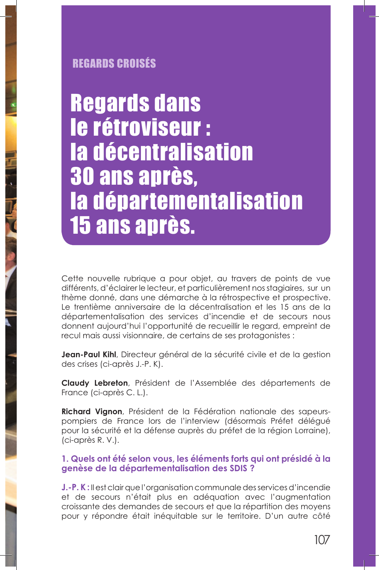# **REGARDS CROISÉS**

**Regards dans** le rétroviseur : la décentralisation **30 ans après,** la départementalisation **15 ans après.** 

Cette nouvelle rubrique a pour objet, au travers de points de vue différents, d'éclairer le lecteur, et particulièrement nos stagiaires, sur un thème donné, dans une démarche à la rétrospective et prospective. Le trentième anniversaire de la décentralisation et les 15 ans de la départementalisation des services d'incendie et de secours nous donnent aujourd'hui l'opportunité de recueillir le regard, empreint de recul mais aussi visionnaire, de certains de ses protagonistes :

Jean-Paul Kihl, Directeur général de la sécurité civile et de la gestion des crises (ci-après J.-P. K).

Claudy Lebreton, Président de l'Assemblée des départements de France (ci-après C.L.).

Richard Vignon, Président de la Fédération nationale des sapeurspompiers de France lors de l'interview (désormais Préfet délégué pour la sécurité et la défense auprès du préfet de la région Lorraine), (ci-après R.V.).

## 1. Quels ont été selon vous, les éléments forts qui ont présidé à la genèse de la départementalisation des SDIS?

**J.-P.K:** Il est clair que l'organisation communale des services d'incendie et de secours n'était plus en adéquation avec l'augmentation croissante des demandes de secours et que la répartition des moyens pour y répondre était inéquitable sur le territoire. D'un autre côté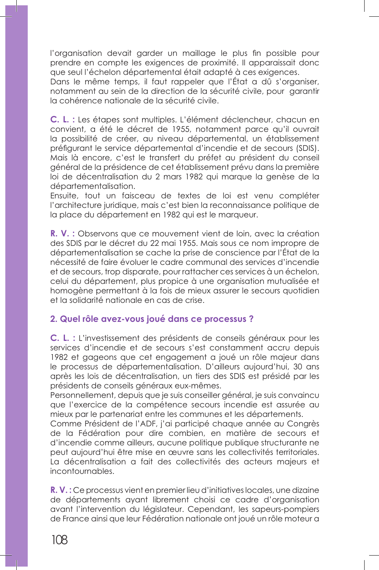l'organisation devait garder un maillage le plus fin possible pour prendre en compte les exigences de proximité. Il apparaissait donc que seul l'échelon départemental était adapté à ces exigences.

Dans le même temps, il faut rappeler que l'État a dû s'organiser, notamment au sein de la direction de la sécurité civile, pour garantir la cohérence nationale de la sécurité civile.

C. L. : Les étapes sont multiples. L'élément déclencheur, chacun en convient, a été le décret de 1955, notamment parce qu'il ouvrait la possibilité de créer, au niveau départemental, un établissement préfigurant le service départemental d'incendie et de secours (SDIS). Mais là encore, c'est le transfert du préfet au président du conseil général de la présidence de cet établissement prévu dans la première loi de décentralisation du 2 mars 1982 qui marque la genèse de la départementalisation.

Ensuite, tout un faisceau de textes de loi est venu compléter l'architecture juridique, mais c'est bien la reconnaissance politique de la place du département en 1982 qui est le marqueur.

R. V. : Observons que ce mouvement vient de loin, avec la création des SDIS par le décret du 22 mai 1955. Mais sous ce nom impropre de départementalisation se cache la prise de conscience par l'État de la nécessité de faire évoluer le cadre communal des services d'incendie et de secours, trop disparate, pour rattacher ces services à un échelon, celui du département, plus propice à une organisation mutualisée et homogène permettant à la fois de mieux assurer le secours quotidien et la solidarité nationale en cas de crise.

#### 2. Quel rôle avez-vous joué dans ce processus ?

C. L. : L'investissement des présidents de conseils généraux pour les services d'incendie et de secours s'est constamment accru depuis 1982 et gageons que cet engagement a joué un rôle majeur dans le processus de départementalisation. D'ailleurs aujourd'hui, 30 ans après les lois de décentralisation, un tiers des SDIS est présidé par les présidents de conseils généraux eux-mêmes.

Personnellement, depuis que je suis conseiller général, je suis convaincu que l'exercice de la compétence secours incendie est assurée au mieux par le partenariat entre les communes et les départements.

Comme Président de l'ADF, j'ai participé chaque année au Congrès de la Fédération pour dire combien, en matière de secours et d'incendie comme ailleurs, aucune politique publique structurante ne peut aujourd'hui être mise en œuvre sans les collectivités territoriales. La décentralisation a fait des collectivités des acteurs majeurs et incontournables.

R. V.: Ce processus vient en premier lieu d'initiatives locales, une dizaine de départements ayant librement choisi ce cadre d'organisation avant l'intervention du législateur. Cependant, les sapeurs-pompiers de France ainsi que leur Fédération nationale ont joué un rôle moteur a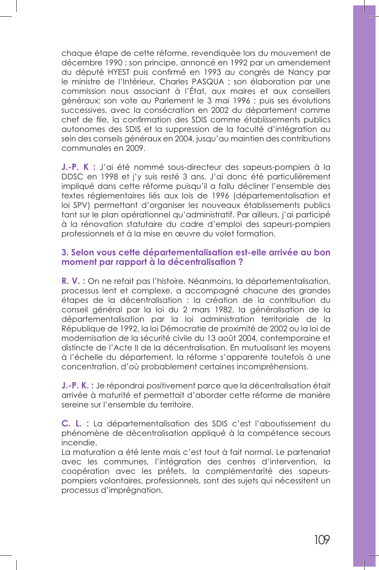chaque étape de cette réforme, revendiquée lors du mouvement de décembre 1990 : son principe, annoncé en 1992 par un amendement du député HYEST puis confirmé en 1993 au congrès de Nancy par le ministre de l'Intérieur, Charles PASQUA ; son élaboration par une commission nous associant à l'État, aux maires et aux conseillers généraux; son vote au Parlement le 3 mai 1996 ; puis ses évolutions successives, avec la consécration en 2002 du département comme chef de file, la confirmation des SDIS comme établissements publics autonomes des SDIS et la suppression de la faculté d'intégration au sein des conseils généraux en 2004, jusqu'au maintien des contributions communales en 2009.

J.-P. K : J'ai été nommé sous-directeur des sapeurs-pompiers à la DDSC en 1998 et j'y suis resté 3 ans. J'ai donc été particulièrement impliqué dans cette réforme puisqu'il a fallu décliner l'ensemble des textes réglementaires liés aux lois de 1996 (départementalisation et loi SPV) permettant d'organiser les nouveaux établissements publics tant sur le plan opérationnel qu'administratif. Par ailleurs, j'ai participé à la rénovation statutaire du cadre d'emploi des sapeurs-pompiers professionnels et à la mise en œuvre du volet formation.

#### 3. Selon vous cette départementalisation est-elle arrivée au bon moment par rapport à la décentralisation ?

R. V. : On ne refait pas l'histoire. Néanmoins, la départementalisation, processus lent et complexe, a accompagné chacune des grandes étapes de la décentralisation : la création de la contribution du conseil général par la loi du 2 mars 1982, la généralisation de la départementalisation par la loi administration territoriale de la République de 1992, la loi Démocratie de proximité de 2002 ou la loi de modernisation de la sécurité civile du 13 août 2004, contemporaine et distincte de l'Acte II de la décentralisation. En mutualisant les moyens à l'échelle du département, la réforme s'apparente toutefois à une concentration, d'où probablement certaines incompréhensions.

J.-P. K. : Je répondrai positivement parce que la décentralisation était arrivée à maturité et permettait d'aborder cette réforme de manière sereine sur l'ensemble du territoire.

C. L. : La départementalisation des SDIS c'est l'aboutissement du phénomène de décentralisation appliqué à la compétence secours incendie.

La maturation a été lente mais c'est tout à fait normal. Le partenariat avec les communes, l'intégration des centres d'intervention, la coopération avec les préfets, la complémentarité des sapeurspompiers volontaires, professionnels, sont des sujets qui nécessitent un processus d'imprégnation.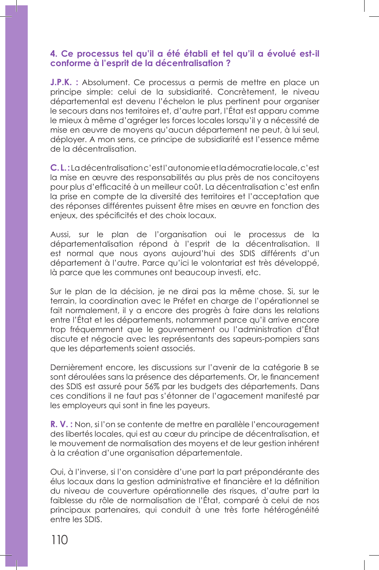## 4. Ce processus tel qu'il a été établi et tel qu'il a évolué est-il conforme à l'esprit de la décentralisation?

J.P.K. : Absolument. Ce processus a permis de mettre en place un principe simple: celui de la subsidiarité. Concrètement, le niveau départemental est devenu l'échelon le plus pertinent pour organiser le secours dans nos territoires et, d'autre part, l'État est apparu comme le mieux à même d'agréger les forces locales lorsqu'il y a nécessité de mise en œuvre de moyens qu'aucun département ne peut, à lui seul, déployer. A mon sens, ce principe de subsidiarité est l'essence même de la décentralisation.

C.L.: La décentralisation c'est l'autonomie et la démocratie locale, c'est la mise en œuvre des responsabilités au plus près de nos concitoyens pour plus d'efficacité à un meilleur coût. La décentralisation c'est enfin la prise en compte de la diversité des territoires et l'acceptation que des réponses différentes puissent être mises en œuvre en fonction des enjeux, des spécificités et des choix locaux.

Aussi, sur le plan de l'organisation oui le processus de la départementalisation répond à l'esprit de la décentralisation. Il est normal que nous ayons aujourd'hui des SDIS différents d'un département à l'autre. Parce qu'ici le volontariat est très développé, là parce que les communes ont beaucoup investi, etc.

Sur le plan de la décision, je ne dirai pas la même chose. Si, sur le terrain, la coordination avec le Préfet en charge de l'opérationnel se fait normalement, il y a encore des progrès à faire dans les relations entre l'État et les départements, notamment parce qu'il arrive encore trop fréquemment que le gouvernement ou l'administration d'État discute et négocie avec les représentants des sapeurs-pompiers sans que les départements soient associés.

Dernièrement encore, les discussions sur l'avenir de la catégorie B se sont déroulées sans la présence des départements. Or, le financement des SDIS est assuré pour 56% par les budgets des départements. Dans ces conditions il ne faut pas s'étonner de l'agacement manifesté par les employeurs qui sont in fine les payeurs.

R. V. : Non, si l'on se contente de mettre en parallèle l'encouragement des libertés locales, qui est au cœur du principe de décentralisation, et le mouvement de normalisation des moyens et de leur gestion inhérent à la création d'une organisation départementale.

Oui, à l'inverse, si l'on considère d'une part la part prépondérante des élus locaux dans la gestion administrative et financière et la définition du niveau de couverture opérationnelle des risques, d'autre part la faiblesse du rôle de normalisation de l'État, comparé à celui de nos principaux partenaires, qui conduit à une très forte hétérogénéité entre les SDIS.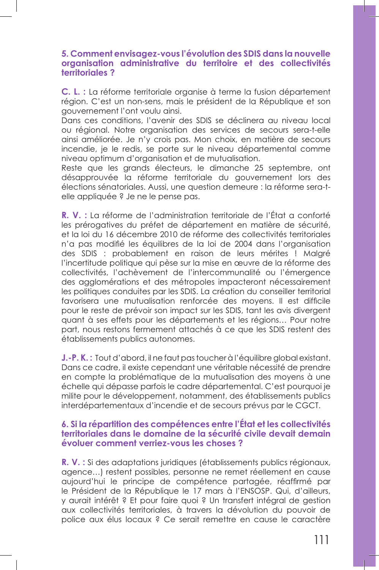### 5. Comment envisagez-vous l'évolution des SDIS dans la nouvelle organisation administrative du territoire et des collectivités territoriales?

C. L. : La réforme territoriale organise à terme la fusion département région. C'est un non-sens, mais le président de la République et son gouvernement l'ont voulu ainsi.

Dans ces conditions, l'avenir des SDIS se déclinera au niveau local ou régional. Notre organisation des services de secours sera-t-elle ainsi améliorée. Je n'y crois pas. Mon choix, en matière de secours incendie, je le redis, se porte sur le niveau départemental comme niveau optimum d'organisation et de mutualisation.

Reste que les grands électeurs, le dimanche 25 septembre, ont désapprouvée la réforme territoriale du gouvernement lors des élections sénatoriales. Aussi, une question demeure : la réforme sera-telle appliquée ? Je ne le pense pas.

R. V. : La réforme de l'administration territoriale de l'État a conforté les prérogatives du préfet de département en matière de sécurité, et la loi du 16 décembre 2010 de réforme des collectivités territoriales n'a pas modifié les équilibres de la loi de 2004 dans l'organisation des SDIS : probablement en raison de leurs mérites ! Malgré l'incertitude politique qui pèse sur la mise en œuvre de la réforme des collectivités, l'achèvement de l'intercommunalité ou l'émergence des agglomérations et des métropoles impacteront nécessairement les politiques conduites par les SDIS. La création du conseiller territorial favorisera une mutualisation renforcée des moyens. Il est difficile pour le reste de prévoir son impact sur les SDIS, tant les avis divergent quant à ses effets pour les départements et les régions... Pour notre part, nous restons fermement attachés à ce que les SDIS restent des établissements publics autonomes.

J.-P.K.: Tout d'abord, il ne faut pas toucher à l'équilibre global existant. Dans ce cadre, il existe cependant une véritable nécessité de prendre en compte la problématique de la mutualisation des moyens à une échelle qui dépasse parfois le cadre départemental. C'est pourquoi je milite pour le développement, notamment, des établissements publics interdépartementaux d'incendie et de secours prévus par le CGCT.

## 6. Si la répartition des compétences entre l'État et les collectivités territoriales dans le domaine de la sécurité civile devait demain évoluer comment verriez-vous les choses?

R. V. : Si des adaptations juridiques (établissements publics régionaux, agence...) restent possibles, personne ne remet réellement en cause aujourd'hui le principe de compétence partagée, réaffirmé par le Président de la République le 17 mars à l'ENSOSP. Qui, d'ailleurs, y aurait intérêt ? Et pour faire quoi ? Un transfert intégral de gestion aux collectivités territoriales, à travers la dévolution du pouvoir de police aux élus locaux ? Ce serait remettre en cause le caractère